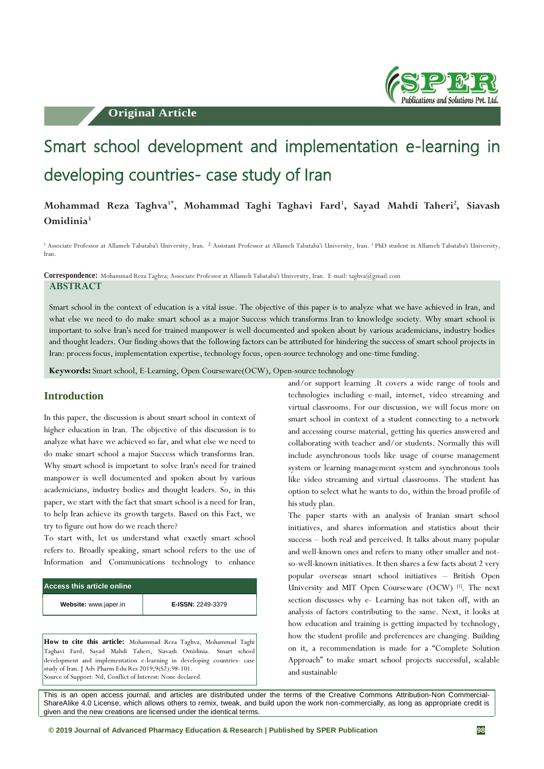**Original Article**



# Smart school development and implementation e-learning in developing countries- case study of Iran

# **Mohammad Reza Taghva1\*, Mohammad Taghi Taghavi Fard<sup>1</sup> , Sayad Mahdi Taheri<sup>2</sup> , Siavash Omidinia<sup>3</sup>**

<sup>1</sup> Associate Professor at Allameh Tabataba'i University, Iran. <sup>2</sup> Assistant Professor at Allameh Tabataba'i University, Iran. <sup>3</sup> PhD student in Allameh Tabataba'i University, Iran.

**Correspondence:** Mohammad Reza Taghva; Associate Professor at Allameh Tabataba'i University, Iran. E-mail: taghva@gmail.com

**ABSTRACT**

Smart school in the context of education is a vital issue. The objective of this paper is to analyze what we have achieved in Iran, and what else we need to do make smart school as a major Success which transforms Iran to knowledge society. Why smart school is important to solve Iran's need for trained manpower is well documented and spoken about by various academicians, industry bodies and thought leaders. Our finding shows that the following factors can be attributed for hindering the success of smart school projects in Iran: process focus, implementation expertise, technology focus, open-source technology and one-time funding.

**Keywords:** Smart school, E-Learning, Open Courseware(OCW), Open-source technology

### **Introduction**

In this paper, the discussion is about smart school in context of higher education in Iran. The objective of this discussion is to analyze what have we achieved so far, and what else we need to do make smart school a major Success which transforms Iran. Why smart school is important to solve Iran's need for trained manpower is well documented and spoken about by various academicians, industry bodies and thought leaders. So, in this paper, we start with the fact that smart school is a need for Iran, to help Iran achieve its growth targets. Based on this Fact, we try to figure out how do we reach there?

To start with, let us understand what exactly smart school refers to. Broadly speaking, smart school refers to the use of Information and Communications technology to enhance

| Access this article online |                          |  |
|----------------------------|--------------------------|--|
| Website: www.japer.in      | <b>E-ISSN: 2249-3379</b> |  |

**How to cite this article:** Mohammad Reza Taghva, Mohammad Taghi Taghavi Fard, Sayad Mahdi Taheri, Siavash Omidinia. Smart school development and implementation e-learning in developing countries- case study of Iran. J Adv Pharm Edu Res 2019;9(S2):98-101. Source of Support: Nil, Conflict of Interest: None declared.

and/or support learning .It covers a wide range of tools and technologies including e-mail, internet, video streaming and virtual classrooms. For our discussion, we will focus more on smart school in context of a student connecting to a network and accessing course material, getting his queries answered and collaborating with teacher and/or students. Normally this will include asynchronous tools like usage of course management system or learning management system and synchronous tools like video streaming and virtual classrooms. The student has option to select what he wants to do, within the broad profile of his study plan.

The paper starts with an analysis of Iranian smart school initiatives, and shares information and statistics about their success – both real and perceived. It talks about many popular and well-known ones and refers to many other smaller and notso-well-known initiatives. It then shares a few facts about 2 very popular overseas smart school initiatives – British Open University and MIT Open Courseware (OCW) [1]. The next section discusses why e- Learning has not taken off, with an analysis of factors contributing to the same. Next, it looks at how education and training is getting impacted by technology, how the student profile and preferences are changing. Building on it, a recommendation is made for a "Complete Solution Approach" to make smart school projects successful, scalable and sustainable

This is an open access journal, and articles are distributed under the terms of the Creative Commons Attribution-Non Commercial-ShareAlike 4.0 License, which allows others to remix, tweak, and build upon the work non-commercially, as long as appropriate credit is given and the new creations are licensed under the identical terms.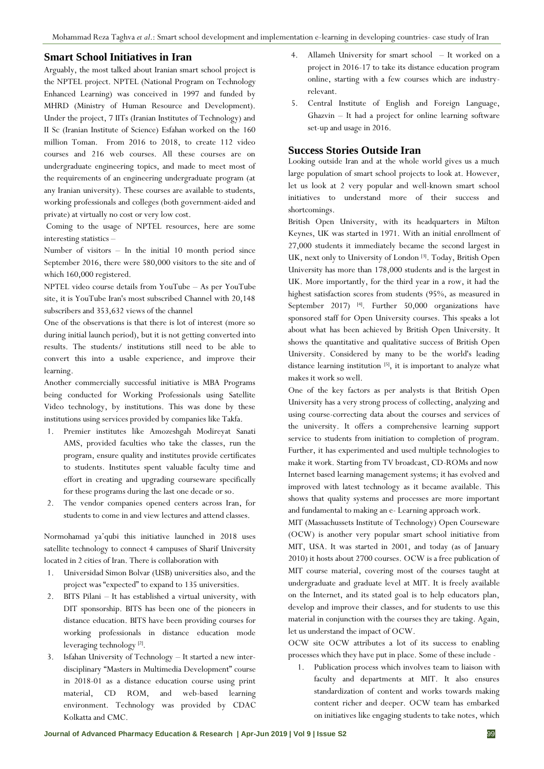#### **Smart School Initiatives in Iran**

Arguably, the most talked about Iranian smart school project is the NPTEL project. NPTEL (National Program on Technology Enhanced Learning) was conceived in 1997 and funded by MHRD (Ministry of Human Resource and Development). Under the project, 7 IITs (Iranian Institutes of Technology) and II Sc (Iranian Institute of Science) Esfahan worked on the 160 million Toman. From 2016 to 2018, to create 112 video courses and 216 web courses. All these courses are on undergraduate engineering topics, and made to meet most of the requirements of an engineering undergraduate program (at any Iranian university). These courses are available to students, working professionals and colleges (both government-aided and private) at virtually no cost or very low cost.

Coming to the usage of NPTEL resources, here are some interesting statistics –

Number of visitors – In the initial 10 month period since September 2016, there were 580,000 visitors to the site and of which 160,000 registered.

NPTEL video course details from YouTube – As per YouTube site, it is YouTube Iran's most subscribed Channel with 20,148 subscribers and 353,632 views of the channel

One of the observations is that there is lot of interest (more so during initial launch period), but it is not getting converted into results. The students/ institutions still need to be able to convert this into a usable experience, and improve their learning.

Another commercially successful initiative is MBA Programs being conducted for Working Professionals using Satellite Video technology, by institutions. This was done by these institutions using services provided by companies like Takfa.

- 1. Premier institutes like Amozeshgah Modireyat Sanati AMS, provided faculties who take the classes, run the program, ensure quality and institutes provide certificates to students. Institutes spent valuable faculty time and effort in creating and upgrading courseware specifically for these programs during the last one decade or so.
- 2. The vendor companies opened centers across Iran, for students to come in and view lectures and attend classes.

Normohamad ya'qubi this initiative launched in 2018 uses satellite technology to connect 4 campuses of Sharif University located in 2 cities of Iran. There is collaboration with

- 1. Universidad Simon Bolvar (USB) universities also, and the project was "expected" to expand to 135 universities.
- 2. BITS Pilani It has established a virtual university, with DIT sponsorship. BITS has been one of the pioneers in distance education. BITS have been providing courses for working professionals in distance education mode leveraging technology<sup>[2]</sup>.
- 3. Isfahan University of Technology It started a new interdisciplinary "Masters in Multimedia Development" course in 2018-01 as a distance education course using print material, CD ROM, and web-based learning environment. Technology was provided by CDAC Kolkatta and CMC.
- 4. Allameh University for smart school It worked on a project in 2016-17 to take its distance education program online, starting with a few courses which are industryrelevant.
- 5. Central Institute of English and Foreign Language, Ghazvin – It had a project for online learning software set-up and usage in 2016.

#### **Success Stories Outside Iran**

Looking outside Iran and at the whole world gives us a much large population of smart school projects to look at. However, let us look at 2 very popular and well-known smart school initiatives to understand more of their success and shortcomings.

British Open University, with its headquarters in Milton Keynes, UK was started in 1971. With an initial enrollment of 27,000 students it immediately became the second largest in UK, next only to University of London<sup>[3]</sup>. Today, British Open University has more than 178,000 students and is the largest in UK. More importantly, for the third year in a row, it had the highest satisfaction scores from students (95%, as measured in September 2017)<sup>[4]</sup>. Further 50,000 organizations have sponsored staff for Open University courses. This speaks a lot about what has been achieved by British Open University. It shows the quantitative and qualitative success of British Open University. Considered by many to be the world's leading distance learning institution<sup>[5]</sup>, it is important to analyze what makes it work so well.

One of the key factors as per analysts is that British Open University has a very strong process of collecting, analyzing and using course-correcting data about the courses and services of the university. It offers a comprehensive learning support service to students from initiation to completion of program. Further, it has experimented and used multiple technologies to make it work. Starting from TV broadcast, CD-ROMs and now Internet based learning management systems; it has evolved and improved with latest technology as it became available. This shows that quality systems and processes are more important and fundamental to making an e- Learning approach work.

MIT (Massachussets Institute of Technology) Open Courseware (OCW) is another very popular smart school initiative from MIT, USA. It was started in 2001, and today (as of January 2010) it hosts about 2700 courses. OCW is a free publication of MIT course material, covering most of the courses taught at undergraduate and graduate level at MIT. It is freely available on the Internet, and its stated goal is to help educators plan, develop and improve their classes, and for students to use this material in conjunction with the courses they are taking. Again, let us understand the impact of OCW.

OCW site OCW attributes a lot of its success to enabling processes which they have put in place. Some of these include -

1. Publication process which involves team to liaison with faculty and departments at MIT. It also ensures standardization of content and works towards making content richer and deeper. OCW team has embarked on initiatives like engaging students to take notes, which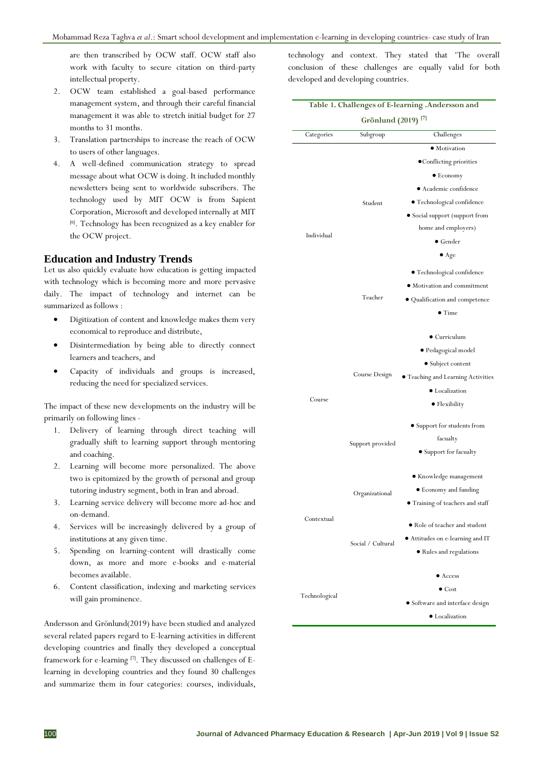are then transcribed by OCW staff. OCW staff also work with faculty to secure citation on third-party intellectual property.

- 2. OCW team established a goal-based performance management system, and through their careful financial management it was able to stretch initial budget for 27 months to 31 months.
- 3. Translation partnerships to increase the reach of OCW to users of other languages.
- 4. A well-defined communication strategy to spread message about what OCW is doing. It included monthly newsletters being sent to worldwide subscribers. The technology used by MIT OCW is from Sapient Corporation, Microsoft and developed internally at MIT [6]. Technology has been recognized as a key enabler for the OCW project.

#### **Education and Industry Trends**

Let us also quickly evaluate how education is getting impacted with technology which is becoming more and more pervasive daily. The impact of technology and internet can be summarized as follows :

- Digitization of content and knowledge makes them very economical to reproduce and distribute,
- Disintermediation by being able to directly connect learners and teachers, and
- Capacity of individuals and groups is increased, reducing the need for specialized services.

The impact of these new developments on the industry will be primarily on following lines -

- 1. Delivery of learning through direct teaching will gradually shift to learning support through mentoring and coaching.
- 2. Learning will become more personalized. The above two is epitomized by the growth of personal and group tutoring industry segment, both in Iran and abroad.
- 3. Learning service delivery will become more ad-hoc and on-demand.
- 4. Services will be increasingly delivered by a group of institutions at any given time.
- 5. Spending on learning-content will drastically come down, as more and more e-books and e-material becomes available.
- 6. Content classification, indexing and marketing services will gain prominence.

Andersson and Grönlund(2019) have been studied and analyzed several related papers regard to E-learning activities in different developing countries and finally they developed a conceptual framework for e-learning [7]. They discussed on challenges of Elearning in developing countries and they found 30 challenges and summarize them in four categories: courses, individuals,

technology and context. They stated that 'The overall conclusion of these challenges are equally valid for both developed and developing countries.

| Grönlund (2019) <sup>[7]</sup> |                   |                                         |
|--------------------------------|-------------------|-----------------------------------------|
| Categories                     | Subgroup          | Challenges                              |
| Individual                     |                   | • Motivation                            |
|                                |                   | • Conflicting priorities                |
|                                |                   | $\bullet$ Economy                       |
|                                |                   | • Academic confidence                   |
|                                | Student           | $\bullet$ Technological confidence      |
|                                |                   | • Social support (support from          |
|                                |                   | home and employers)                     |
|                                |                   | $\bullet$ Gender                        |
|                                |                   | $\bullet$ Age                           |
|                                | Teacher           | · Technological confidence              |
|                                |                   | • Motivation and commitment             |
|                                |                   | · Qualification and competence          |
|                                |                   | $\bullet$ Time                          |
|                                |                   | $\bullet$ Curriculum                    |
|                                |                   | · Pedagogical model                     |
| Course                         |                   | • Subject content                       |
|                                | Course Design     | • Teaching and Learning Activities      |
|                                |                   | • Localization                          |
|                                |                   | • Flexibility                           |
|                                |                   |                                         |
|                                | Support provided  | • Support for students from             |
|                                |                   | facualty                                |
|                                |                   | • Support for facualty                  |
| Contextual                     | Organizational    | $\bullet$ Knowledge management          |
|                                |                   | • Economy and funding                   |
|                                |                   | • Training of teachers and staff        |
|                                | Social / Cultural | • Role of teacher and student           |
|                                |                   | • Attitudes on e-learning and IT        |
|                                |                   | Rules and regulations                   |
|                                |                   | $\bullet$ Access                        |
| Technological                  |                   | $\bullet$ Cost                          |
|                                |                   | $\bullet$ Software and interface design |
|                                |                   | • Localization                          |